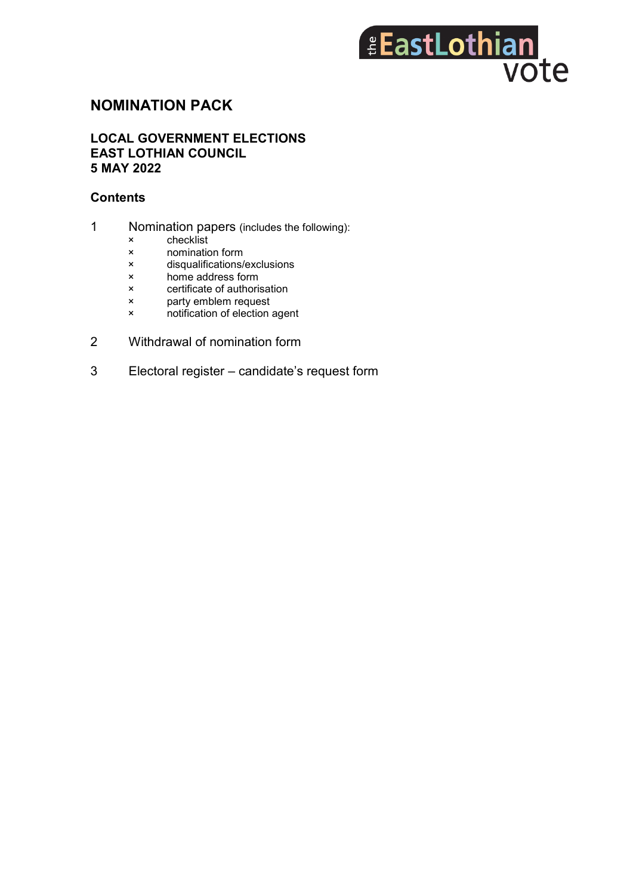# *EastLothian* vote

# **NOMINATION PACK**

### **LOCAL GOVERNMENT ELECTIONS EAST LOTHIAN COUNCIL 5 MAY 2022**

### **Contents**

- 1 Nomination papers (includes the following):
	- × checklist<br>× nominatic
	- nomination form
	- × disqualifications/exclusions
	- × home address form<br>× certificate of authoris
	- certificate of authorisation
	- × party emblem request
	- × notification of election agent
- 2 Withdrawal of nomination form
- 3 Electoral register candidate's request form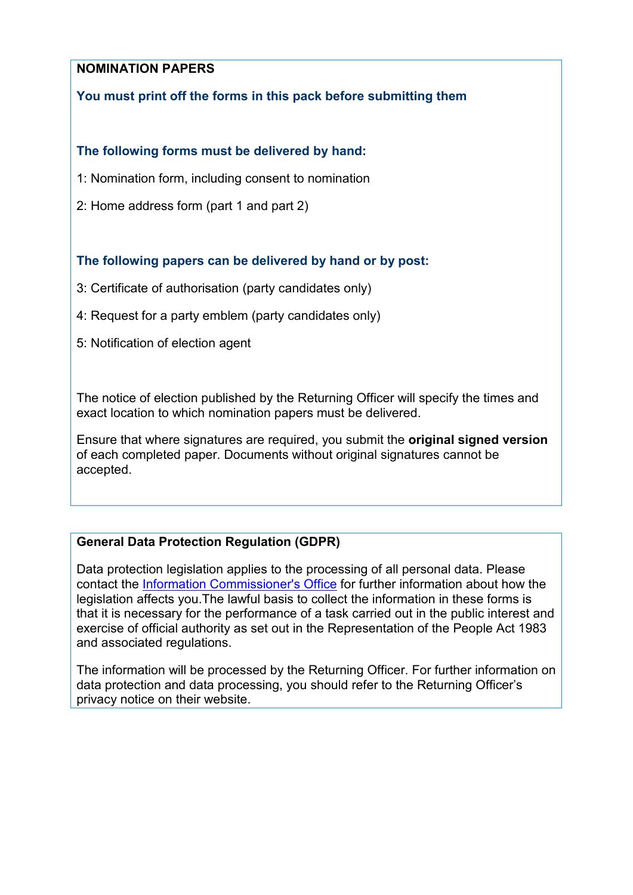# **NOMINATION PAPERS**

# **You must print off the forms in this pack before submitting them**

# **The following forms must be delivered by hand:**

- 1: Nomination form, including consent to nomination
- 2: Home address form (part 1 and part 2)

# **The following papers can be delivered by hand or by post:**

- 3: Certificate of authorisation (party candidates only)
- 4: Request for a party emblem (party candidates only)
- 5: Notification of election agent

The notice of election published by the Returning Officer will specify the times and exact location to which nomination papers must be delivered.

Ensure that where signatures are required, you submit the **original signed version** of each completed paper. Documents without original signatures cannot be accepted.

# **General Data Protection Regulation (GDPR)**

Data protection legislation applies to the processing of all personal data. Please contact the [Information Commissioner's Office](https://ico.org.uk/for-organisations/guide-to-the-general-data-protection-regulation-gdpr/) for further information about how the legislation affects you.The lawful basis to collect the information in these forms is that it is necessary for the performance of a task carried out in the public interest and exercise of official authority as set out in the Representation of the People Act 1983 and associated regulations.

The information will be processed by the Returning Officer. For further information on data protection and data processing, you should refer to the Returning Officer's privacy notice on their website.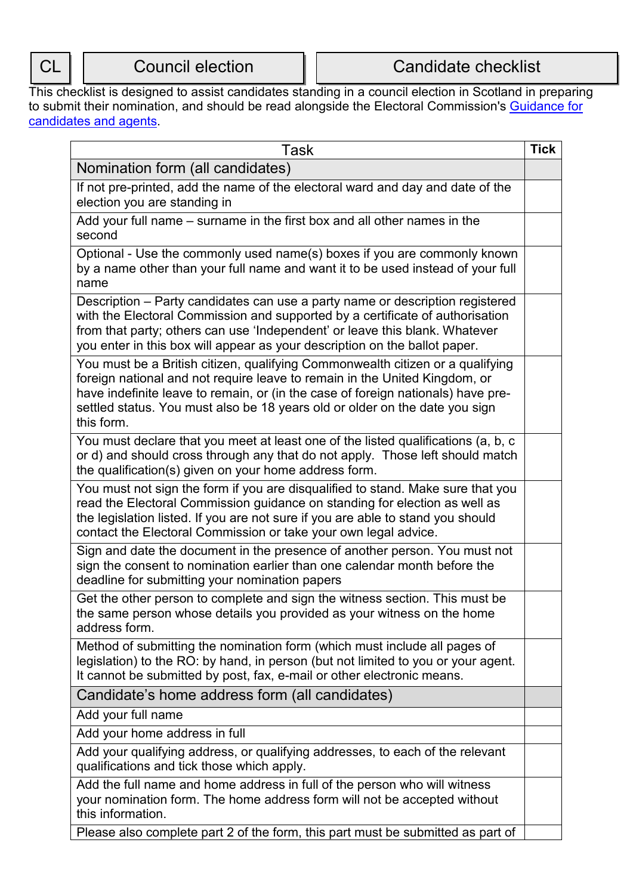This checklist is designed to assist candidates standing in a council election in Scotland in preparing to submit their nomination, and should be read alongside the Electoral Commission's <u>Guidance for</u> [candidates and agents.](http://www.electoralcommission.org.uk/i-am-a/candidate-or-agent/local-council-elections-in-scotland-2017)

| Task                                                                                                                                                                                                                                                                                                                                          | <b>Tick</b> |
|-----------------------------------------------------------------------------------------------------------------------------------------------------------------------------------------------------------------------------------------------------------------------------------------------------------------------------------------------|-------------|
| Nomination form (all candidates)                                                                                                                                                                                                                                                                                                              |             |
| If not pre-printed, add the name of the electoral ward and day and date of the<br>election you are standing in                                                                                                                                                                                                                                |             |
| Add your full name – surname in the first box and all other names in the<br>second                                                                                                                                                                                                                                                            |             |
| Optional - Use the commonly used name(s) boxes if you are commonly known<br>by a name other than your full name and want it to be used instead of your full<br>name                                                                                                                                                                           |             |
| Description – Party candidates can use a party name or description registered<br>with the Electoral Commission and supported by a certificate of authorisation<br>from that party; others can use 'Independent' or leave this blank. Whatever<br>you enter in this box will appear as your description on the ballot paper.                   |             |
| You must be a British citizen, qualifying Commonwealth citizen or a qualifying<br>foreign national and not require leave to remain in the United Kingdom, or<br>have indefinite leave to remain, or (in the case of foreign nationals) have pre-<br>settled status. You must also be 18 years old or older on the date you sign<br>this form. |             |
| You must declare that you meet at least one of the listed qualifications (a, b, c<br>or d) and should cross through any that do not apply. Those left should match<br>the qualification(s) given on your home address form.                                                                                                                   |             |
| You must not sign the form if you are disqualified to stand. Make sure that you<br>read the Electoral Commission guidance on standing for election as well as<br>the legislation listed. If you are not sure if you are able to stand you should<br>contact the Electoral Commission or take your own legal advice.                           |             |
| Sign and date the document in the presence of another person. You must not<br>sign the consent to nomination earlier than one calendar month before the<br>deadline for submitting your nomination papers                                                                                                                                     |             |
| Get the other person to complete and sign the witness section. This must be<br>the same person whose details you provided as your witness on the home<br>address form.                                                                                                                                                                        |             |
| Method of submitting the nomination form (which must include all pages of<br>legislation) to the RO: by hand, in person (but not limited to you or your agent.<br>It cannot be submitted by post, fax, e-mail or other electronic means.                                                                                                      |             |
| Candidate's home address form (all candidates)                                                                                                                                                                                                                                                                                                |             |
| Add your full name                                                                                                                                                                                                                                                                                                                            |             |
| Add your home address in full                                                                                                                                                                                                                                                                                                                 |             |
| Add your qualifying address, or qualifying addresses, to each of the relevant<br>qualifications and tick those which apply.                                                                                                                                                                                                                   |             |
| Add the full name and home address in full of the person who will witness<br>your nomination form. The home address form will not be accepted without<br>this information.                                                                                                                                                                    |             |
| Please also complete part 2 of the form, this part must be submitted as part of                                                                                                                                                                                                                                                               |             |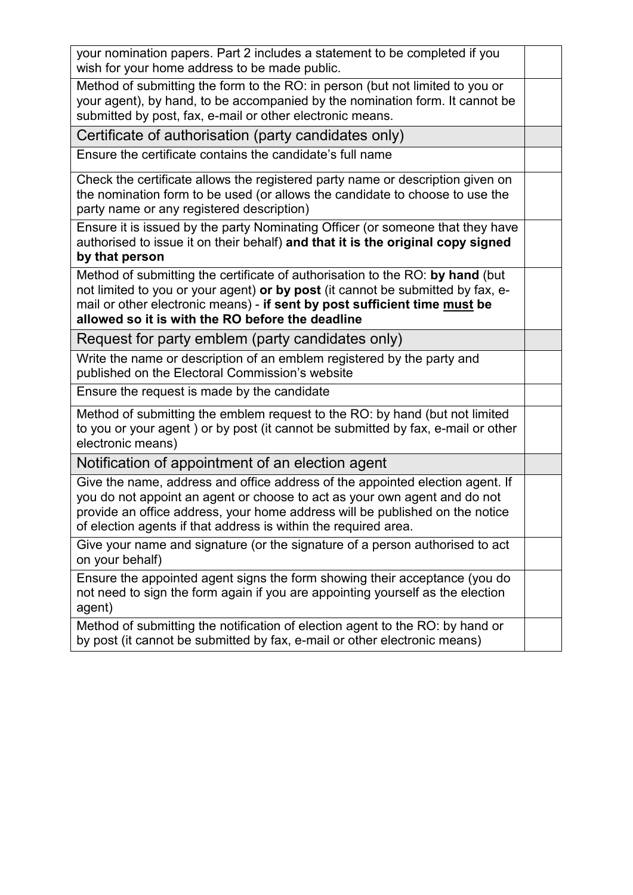| your nomination papers. Part 2 includes a statement to be completed if you<br>wish for your home address to be made public.                                                                                                                                                                                   |  |
|---------------------------------------------------------------------------------------------------------------------------------------------------------------------------------------------------------------------------------------------------------------------------------------------------------------|--|
| Method of submitting the form to the RO: in person (but not limited to you or<br>your agent), by hand, to be accompanied by the nomination form. It cannot be<br>submitted by post, fax, e-mail or other electronic means.                                                                                    |  |
| Certificate of authorisation (party candidates only)                                                                                                                                                                                                                                                          |  |
| Ensure the certificate contains the candidate's full name                                                                                                                                                                                                                                                     |  |
| Check the certificate allows the registered party name or description given on<br>the nomination form to be used (or allows the candidate to choose to use the<br>party name or any registered description)                                                                                                   |  |
| Ensure it is issued by the party Nominating Officer (or someone that they have<br>authorised to issue it on their behalf) and that it is the original copy signed<br>by that person                                                                                                                           |  |
| Method of submitting the certificate of authorisation to the RO: by hand (but<br>not limited to you or your agent) or by post (it cannot be submitted by fax, e-<br>mail or other electronic means) - if sent by post sufficient time must be<br>allowed so it is with the RO before the deadline             |  |
| Request for party emblem (party candidates only)                                                                                                                                                                                                                                                              |  |
| Write the name or description of an emblem registered by the party and<br>published on the Electoral Commission's website                                                                                                                                                                                     |  |
| Ensure the request is made by the candidate                                                                                                                                                                                                                                                                   |  |
| Method of submitting the emblem request to the RO: by hand (but not limited<br>to you or your agent) or by post (it cannot be submitted by fax, e-mail or other<br>electronic means)                                                                                                                          |  |
| Notification of appointment of an election agent                                                                                                                                                                                                                                                              |  |
| Give the name, address and office address of the appointed election agent. If<br>you do not appoint an agent or choose to act as your own agent and do not<br>provide an office address, your home address will be published on the notice<br>of election agents if that address is within the required area. |  |
| Give your name and signature (or the signature of a person authorised to act<br>on your behalf)                                                                                                                                                                                                               |  |
| Ensure the appointed agent signs the form showing their acceptance (you do<br>not need to sign the form again if you are appointing yourself as the election<br>agent)                                                                                                                                        |  |
| Method of submitting the notification of election agent to the RO: by hand or<br>by post (it cannot be submitted by fax, e-mail or other electronic means)                                                                                                                                                    |  |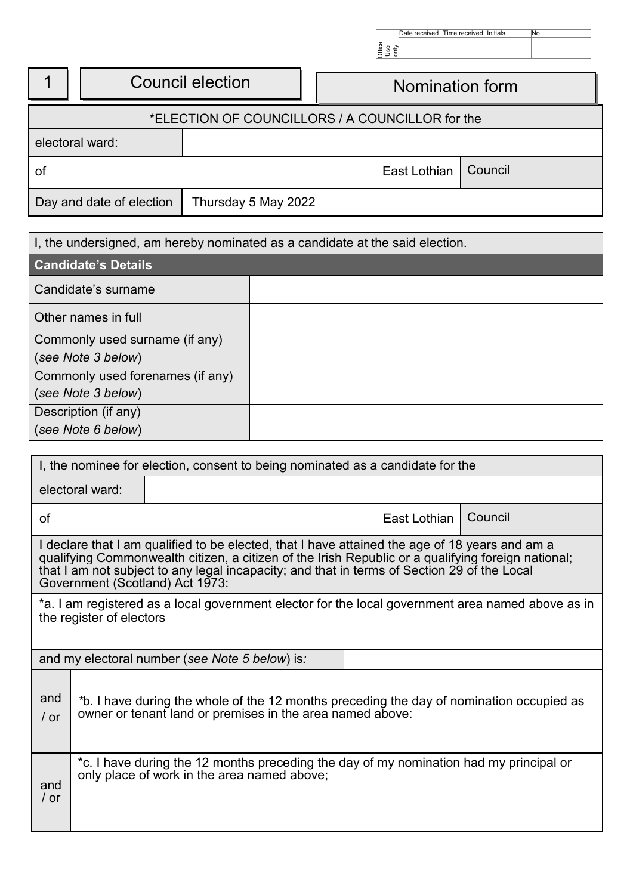|                                                 |                          |                                            |  | Buse<br>Subset | Date received | Il ime received linitials |         | No. |  |
|-------------------------------------------------|--------------------------|--------------------------------------------|--|----------------|---------------|---------------------------|---------|-----|--|
|                                                 |                          | <b>Council election</b><br>Nomination form |  |                |               |                           |         |     |  |
| *ELECTION OF COUNCILLORS / A COUNCILLOR for the |                          |                                            |  |                |               |                           |         |     |  |
| electoral ward:                                 |                          |                                            |  |                |               |                           |         |     |  |
| of                                              |                          |                                            |  |                | East Lothian  |                           | Council |     |  |
|                                                 | Day and date of election | Thursday 5 May 2022                        |  |                |               |                           |         |     |  |

| I, the undersigned, am hereby nominated as a candidate at the said election. |  |  |  |  |
|------------------------------------------------------------------------------|--|--|--|--|
| <b>Candidate's Details</b>                                                   |  |  |  |  |
| Candidate's surname                                                          |  |  |  |  |
| Other names in full                                                          |  |  |  |  |
| Commonly used surname (if any)                                               |  |  |  |  |
| (see Note 3 below)                                                           |  |  |  |  |
| Commonly used forenames (if any)                                             |  |  |  |  |
| (see Note 3 below)                                                           |  |  |  |  |
| Description (if any)                                                         |  |  |  |  |
| (see Note 6 below)                                                           |  |  |  |  |

| I, the nominee for election, consent to being nominated as a candidate for the                                                                                         |                                                                                                                                                                                                                                                                                                                                        |                                                                                                                                       |                |         |  |
|------------------------------------------------------------------------------------------------------------------------------------------------------------------------|----------------------------------------------------------------------------------------------------------------------------------------------------------------------------------------------------------------------------------------------------------------------------------------------------------------------------------------|---------------------------------------------------------------------------------------------------------------------------------------|----------------|---------|--|
|                                                                                                                                                                        | electoral ward:                                                                                                                                                                                                                                                                                                                        |                                                                                                                                       |                |         |  |
| of                                                                                                                                                                     |                                                                                                                                                                                                                                                                                                                                        |                                                                                                                                       | East Lothian I | Council |  |
|                                                                                                                                                                        | I declare that I am qualified to be elected, that I have attained the age of 18 years and am a<br>qualifying Commonwealth citizen, a citizen of the Irish Republic or a qualifying foreign national;<br>that I am not subject to any legal incapacity; and that in terms of Section 29 of the Local<br>Government (Scotland) Act 1973: |                                                                                                                                       |                |         |  |
|                                                                                                                                                                        | *a. I am registered as a local government elector for the local government area named above as in<br>the register of electors                                                                                                                                                                                                          |                                                                                                                                       |                |         |  |
|                                                                                                                                                                        | and my electoral number (see Note 5 below) is:                                                                                                                                                                                                                                                                                         |                                                                                                                                       |                |         |  |
| and<br>*b. I have during the whole of the 12 months preceding the day of nomination occupied as<br>owner or tenant land or premises in the area named above:<br>$/$ or |                                                                                                                                                                                                                                                                                                                                        |                                                                                                                                       |                |         |  |
| and<br>/ or                                                                                                                                                            |                                                                                                                                                                                                                                                                                                                                        | *c. I have during the 12 months preceding the day of my nomination had my principal or<br>only place of work in the area named above; |                |         |  |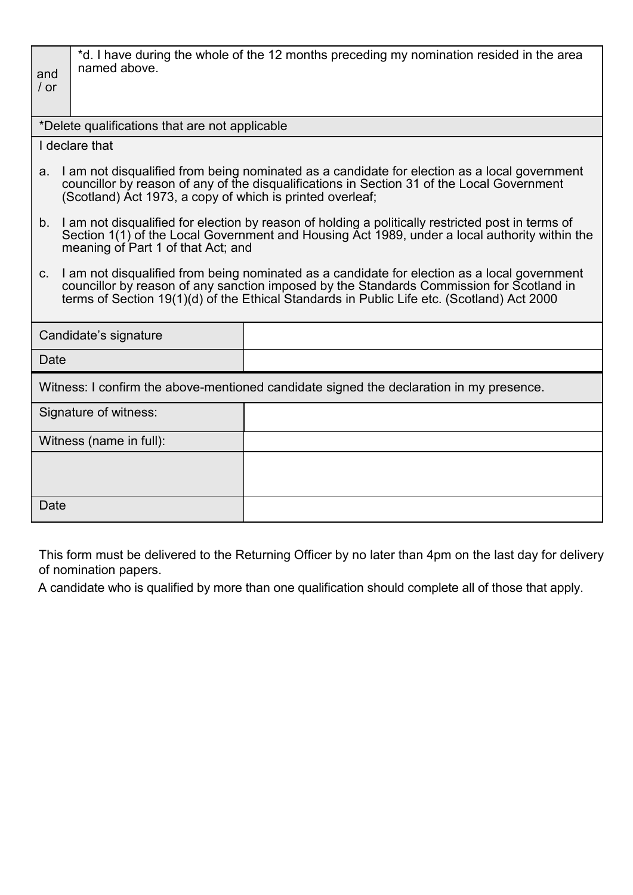| and<br>/ or | named above.                                                                                                                                                                                                                                                                           | *d. I have during the whole of the 12 months preceding my nomination resided in the area                                                                                                   |  |  |  |  |
|-------------|----------------------------------------------------------------------------------------------------------------------------------------------------------------------------------------------------------------------------------------------------------------------------------------|--------------------------------------------------------------------------------------------------------------------------------------------------------------------------------------------|--|--|--|--|
|             | *Delete qualifications that are not applicable                                                                                                                                                                                                                                         |                                                                                                                                                                                            |  |  |  |  |
|             | I declare that                                                                                                                                                                                                                                                                         |                                                                                                                                                                                            |  |  |  |  |
| a.          | (Scotland) Act 1973, a copy of which is printed overleaf;                                                                                                                                                                                                                              | I am not disqualified from being nominated as a candidate for election as a local government<br>councillor by reason of any of the disqualifications in Section 31 of the Local Government |  |  |  |  |
|             | b. I am not disqualified for election by reason of holding a politically restricted post in terms of<br>Section 1(1) of the Local Government and Housing Act 1989, under a local authority within the<br>meaning of Part 1 of that Act; and                                            |                                                                                                                                                                                            |  |  |  |  |
| $C_{1}$     | I am not disqualified from being nominated as a candidate for election as a local government<br>councillor by reason of any sanction imposed by the Standards Commission for Scotland in<br>terms of Section 19(1)(d) of the Ethical Standards in Public Life etc. (Scotland) Act 2000 |                                                                                                                                                                                            |  |  |  |  |
|             | Candidate's signature                                                                                                                                                                                                                                                                  |                                                                                                                                                                                            |  |  |  |  |
| Date        |                                                                                                                                                                                                                                                                                        |                                                                                                                                                                                            |  |  |  |  |
|             |                                                                                                                                                                                                                                                                                        | Witness: I confirm the above-mentioned candidate signed the declaration in my presence.                                                                                                    |  |  |  |  |
|             | Signature of witness:                                                                                                                                                                                                                                                                  |                                                                                                                                                                                            |  |  |  |  |
|             | Witness (name in full):                                                                                                                                                                                                                                                                |                                                                                                                                                                                            |  |  |  |  |
|             |                                                                                                                                                                                                                                                                                        |                                                                                                                                                                                            |  |  |  |  |
| Date        |                                                                                                                                                                                                                                                                                        |                                                                                                                                                                                            |  |  |  |  |

This form must be delivered to the Returning Officer by no later than 4pm on the last day for delivery of nomination papers.

A candidate who is qualified by more than one qualification should complete all of those that apply.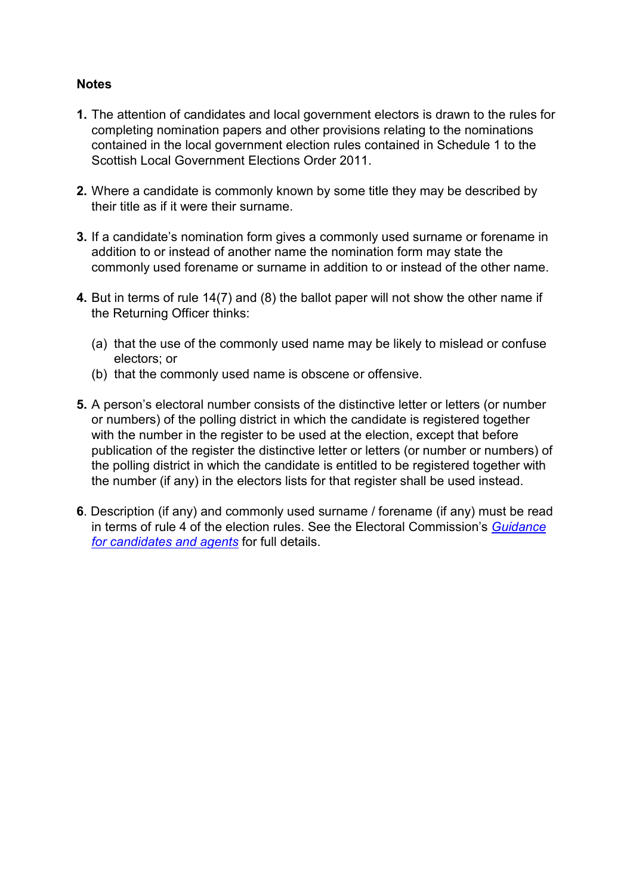## **Notes**

- **1.** The attention of candidates and local government electors is drawn to the rules for completing nomination papers and other provisions relating to the nominations contained in the local government election rules contained in Schedule 1 to the Scottish Local Government Elections Order 2011.
- **2.** Where a candidate is commonly known by some title they may be described by their title as if it were their surname.
- **3.** If a candidate's nomination form gives a commonly used surname or forename in addition to or instead of another name the nomination form may state the commonly used forename or surname in addition to or instead of the other name.
- **4.** But in terms of rule 14(7) and (8) the ballot paper will not show the other name if the Returning Officer thinks:
	- (a) that the use of the commonly used name may be likely to mislead or confuse electors; or
	- (b) that the commonly used name is obscene or offensive.
- **5.** A person's electoral number consists of the distinctive letter or letters (or number or numbers) of the polling district in which the candidate is registered together with the number in the register to be used at the election, except that before publication of the register the distinctive letter or letters (or number or numbers) of the polling district in which the candidate is entitled to be registered together with the number (if any) in the electors lists for that register shall be used instead.
- **6**. Description (if any) and commonly used surname / forename (if any) must be read in terms of rule 4 of the election rules. See the Electoral Commission's *[Guidance](http://www.electoralcommission.org.uk/i-am-a/candidate-or-agent/local-council-elections-in-scotland-2017)  [for candidates and agents](http://www.electoralcommission.org.uk/i-am-a/candidate-or-agent/local-council-elections-in-scotland-2017)* for full details.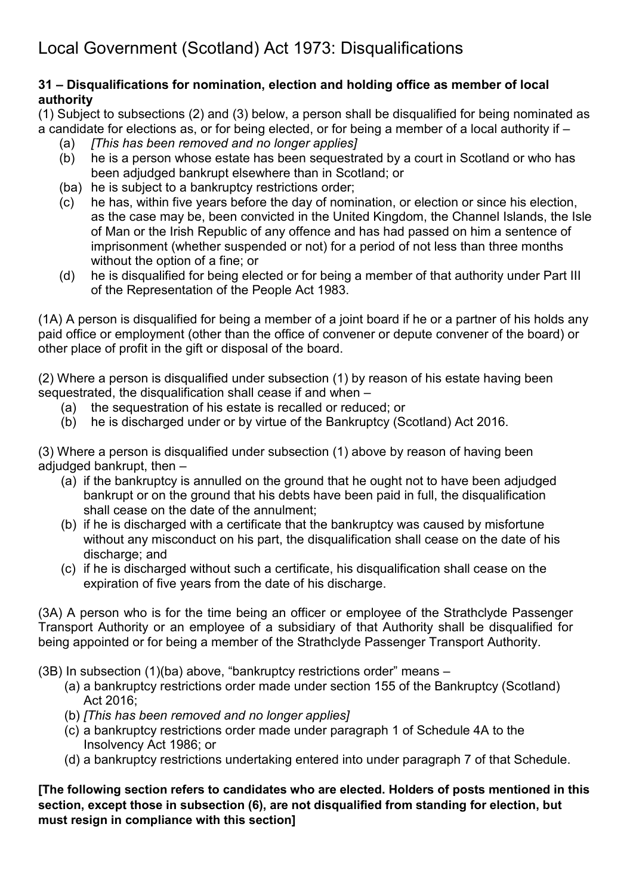# **31 – Disqualifications for nomination, election and holding office as member of local authority**

(1) Subject to subsections (2) and (3) below, a person shall be disqualified for being nominated as a candidate for elections as, or for being elected, or for being a member of a local authority if –

- (a) *[This has been removed and no longer applies]*
- he is a person whose estate has been sequestrated by a court in Scotland or who has been adjudged bankrupt elsewhere than in Scotland; or
- (ba) he is subject to a bankruptcy restrictions order;
- (c) he has, within five years before the day of nomination, or election or since his election, as the case may be, been convicted in the United Kingdom, the Channel Islands, the Isle of Man or the Irish Republic of any offence and has had passed on him a sentence of imprisonment (whether suspended or not) for a period of not less than three months without the option of a fine; or
- (d) he is disqualified for being elected or for being a member of that authority under Part III of the Representation of the People Act 1983.

(1A) A person is disqualified for being a member of a joint board if he or a partner of his holds any paid office or employment (other than the office of convener or depute convener of the board) or other place of profit in the gift or disposal of the board.

(2) Where a person is disqualified under subsection (1) by reason of his estate having been sequestrated, the disqualification shall cease if and when –

- (a) the sequestration of his estate is recalled or reduced; or
- (b) he is discharged under or by virtue of the Bankruptcy (Scotland) Act 2016.

(3) Where a person is disqualified under subsection (1) above by reason of having been adjudged bankrupt, then –

- (a) if the bankruptcy is annulled on the ground that he ought not to have been adjudged bankrupt or on the ground that his debts have been paid in full, the disqualification shall cease on the date of the annulment;
- (b) if he is discharged with a certificate that the bankruptcy was caused by misfortune without any misconduct on his part, the disqualification shall cease on the date of his discharge; and
- (c) if he is discharged without such a certificate, his disqualification shall cease on the expiration of five years from the date of his discharge.

(3A) A person who is for the time being an officer or employee of the Strathclyde Passenger Transport Authority or an employee of a subsidiary of that Authority shall be disqualified for being appointed or for being a member of the Strathclyde Passenger Transport Authority.

- (3B) In subsection (1)(ba) above, "bankruptcy restrictions order" means
	- (a) a bankruptcy restrictions order made under section 155 of the Bankruptcy (Scotland) Act 2016;
	- (b) *[This has been removed and no longer applies]*
	- (c) a bankruptcy restrictions order made under paragraph 1 of Schedule 4A to the Insolvency Act 1986; or
	- (d) a bankruptcy restrictions undertaking entered into under paragraph 7 of that Schedule.

# **[The following section refers to candidates who are elected. Holders of posts mentioned in this section, except those in subsection (6), are not disqualified from standing for election, but must resign in compliance with this section]**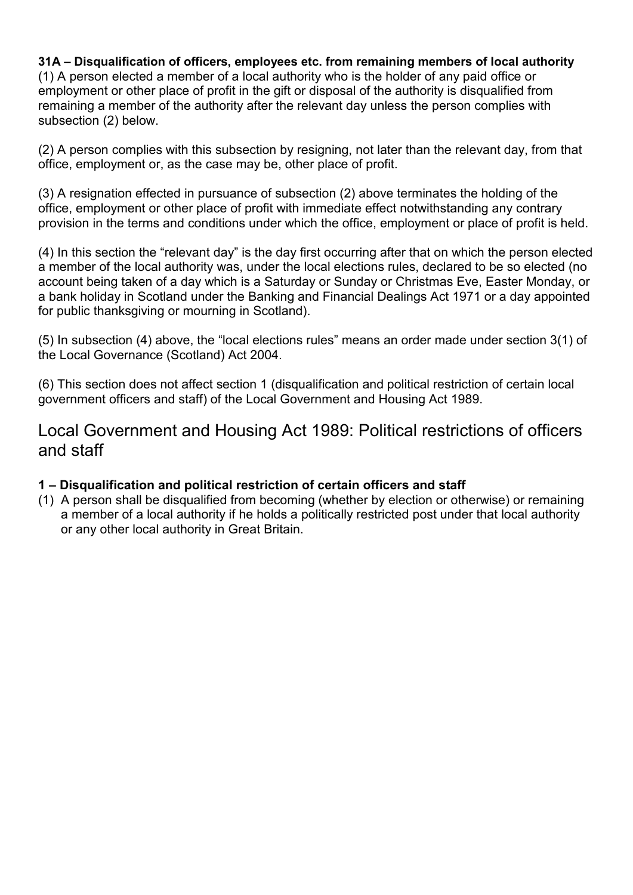## **31A – Disqualification of officers, employees etc. from remaining members of local authority**

(1) A person elected a member of a local authority who is the holder of any paid office or employment or other place of profit in the gift or disposal of the authority is disqualified from remaining a member of the authority after the relevant day unless the person complies with subsection (2) below.

(2) A person complies with this subsection by resigning, not later than the relevant day, from that office, employment or, as the case may be, other place of profit.

(3) A resignation effected in pursuance of subsection (2) above terminates the holding of the office, employment or other place of profit with immediate effect notwithstanding any contrary provision in the terms and conditions under which the office, employment or place of profit is held.

(4) In this section the "relevant day" is the day first occurring after that on which the person elected a member of the local authority was, under the local elections rules, declared to be so elected (no account being taken of a day which is a Saturday or Sunday or Christmas Eve, Easter Monday, or a bank holiday in Scotland under the Banking and Financial Dealings Act 1971 or a day appointed for public thanksgiving or mourning in Scotland).

(5) In subsection (4) above, the "local elections rules" means an order made under section 3(1) of the Local Governance (Scotland) Act 2004.

(6) This section does not affect section 1 (disqualification and political restriction of certain local government officers and staff) of the Local Government and Housing Act 1989.

Local Government and Housing Act 1989: Political restrictions of officers and staff

# **1 – Disqualification and political restriction of certain officers and staff**

(1) A person shall be disqualified from becoming (whether by election or otherwise) or remaining a member of a local authority if he holds a politically restricted post under that local authority or any other local authority in Great Britain.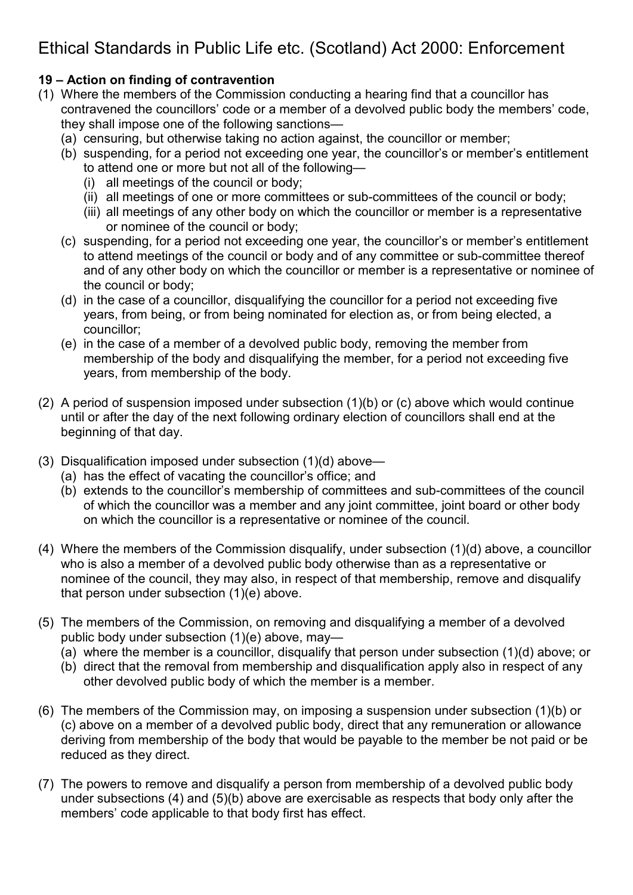# Ethical Standards in Public Life etc. (Scotland) Act 2000: Enforcement

# **19 – Action on finding of contravention**

- (1) Where the members of the Commission conducting a hearing find that a councillor has contravened the councillors' code or a member of a devolved public body the members' code, they shall impose one of the following sanctions—
	- (a) censuring, but otherwise taking no action against, the councillor or member;
	- (b) suspending, for a period not exceeding one year, the councillor's or member's entitlement to attend one or more but not all of the following—
		- (i) all meetings of the council or body;
		- (ii) all meetings of one or more committees or sub-committees of the council or body;
		- (iii) all meetings of any other body on which the councillor or member is a representative or nominee of the council or body;
	- (c) suspending, for a period not exceeding one year, the councillor's or member's entitlement to attend meetings of the council or body and of any committee or sub-committee thereof and of any other body on which the councillor or member is a representative or nominee of the council or body;
	- (d) in the case of a councillor, disqualifying the councillor for a period not exceeding five years, from being, or from being nominated for election as, or from being elected, a councillor;
	- (e) in the case of a member of a devolved public body, removing the member from membership of the body and disqualifying the member, for a period not exceeding five years, from membership of the body.
- (2) A period of suspension imposed under subsection (1)(b) or (c) above which would continue until or after the day of the next following ordinary election of councillors shall end at the beginning of that day.
- (3) Disqualification imposed under subsection (1)(d) above—
	- (a) has the effect of vacating the councillor's office; and
	- (b) extends to the councillor's membership of committees and sub-committees of the council of which the councillor was a member and any joint committee, joint board or other body on which the councillor is a representative or nominee of the council.
- (4) Where the members of the Commission disqualify, under subsection (1)(d) above, a councillor who is also a member of a devolved public body otherwise than as a representative or nominee of the council, they may also, in respect of that membership, remove and disqualify that person under subsection (1)(e) above.
- (5) The members of the Commission, on removing and disqualifying a member of a devolved public body under subsection (1)(e) above, may—
	- (a) where the member is a councillor, disqualify that person under subsection (1)(d) above; or
	- (b) direct that the removal from membership and disqualification apply also in respect of any other devolved public body of which the member is a member.
- (6) The members of the Commission may, on imposing a suspension under subsection (1)(b) or (c) above on a member of a devolved public body, direct that any remuneration or allowance deriving from membership of the body that would be payable to the member be not paid or be reduced as they direct.
- (7) The powers to remove and disqualify a person from membership of a devolved public body under subsections (4) and (5)(b) above are exercisable as respects that body only after the members' code applicable to that body first has effect.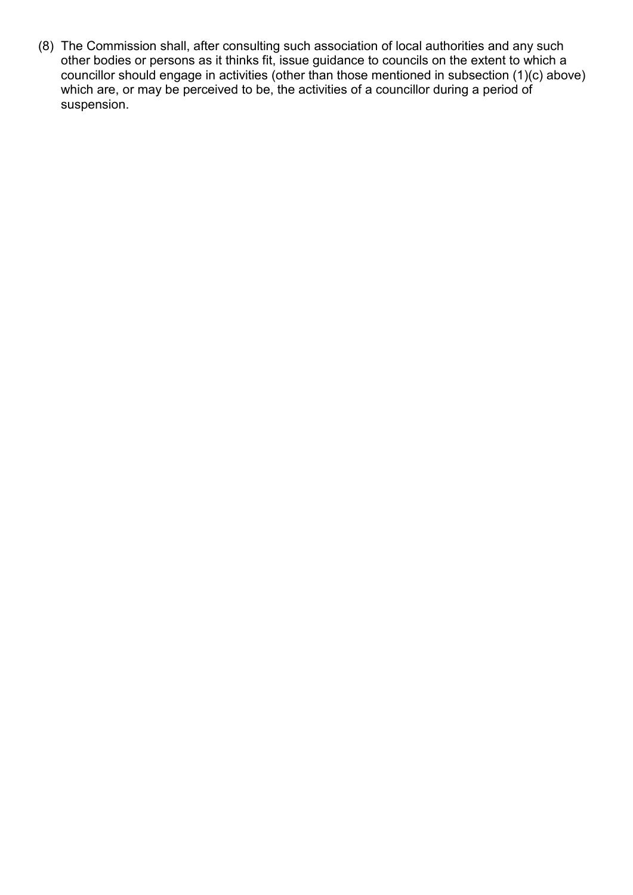(8) The Commission shall, after consulting such association of local authorities and any such other bodies or persons as it thinks fit, issue guidance to councils on the extent to which a councillor should engage in activities (other than those mentioned in subsection (1)(c) above) which are, or may be perceived to be, the activities of a councillor during a period of suspension.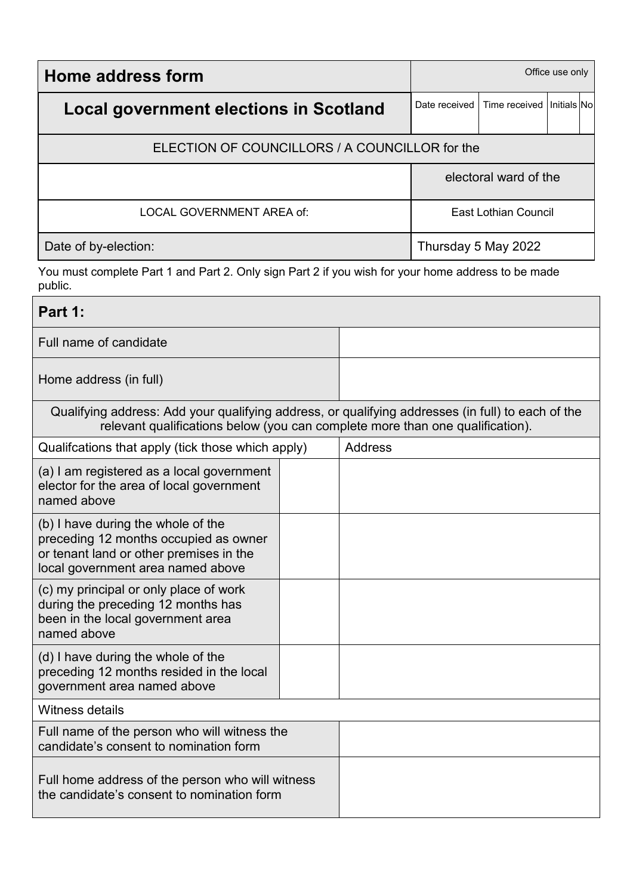| Home address form                              | Office use only             |                              |  |  |
|------------------------------------------------|-----------------------------|------------------------------|--|--|
| Local government elections in Scotland         | Date received               | Time received I Initials Nol |  |  |
| ELECTION OF COUNCILLORS / A COUNCILLOR for the |                             |                              |  |  |
|                                                | electoral ward of the       |                              |  |  |
| LOCAL GOVERNMENT AREA of:                      | <b>East Lothian Council</b> |                              |  |  |
| Date of by-election:                           | Thursday 5 May 2022         |                              |  |  |

You must complete Part 1 and Part 2. Only sign Part 2 if you wish for your home address to be made public.

# **Part 1:**

Full name of candidate

Home address (in full)

| Qualifying address: Add your qualifying address, or qualifying addresses (in full) to each of the<br>relevant qualifications below (you can complete more than one qualification). |  |                |  |  |  |
|------------------------------------------------------------------------------------------------------------------------------------------------------------------------------------|--|----------------|--|--|--|
| Qualifcations that apply (tick those which apply)                                                                                                                                  |  | <b>Address</b> |  |  |  |
| (a) I am registered as a local government<br>elector for the area of local government<br>named above                                                                               |  |                |  |  |  |
| (b) I have during the whole of the<br>preceding 12 months occupied as owner<br>or tenant land or other premises in the<br>local government area named above                        |  |                |  |  |  |
| (c) my principal or only place of work<br>during the preceding 12 months has<br>been in the local government area<br>named above                                                   |  |                |  |  |  |
| (d) I have during the whole of the<br>preceding 12 months resided in the local<br>government area named above                                                                      |  |                |  |  |  |
| Witness details                                                                                                                                                                    |  |                |  |  |  |
| Full name of the person who will witness the<br>candidate's consent to nomination form                                                                                             |  |                |  |  |  |
| Full home address of the person who will witness<br>the candidate's consent to nomination form                                                                                     |  |                |  |  |  |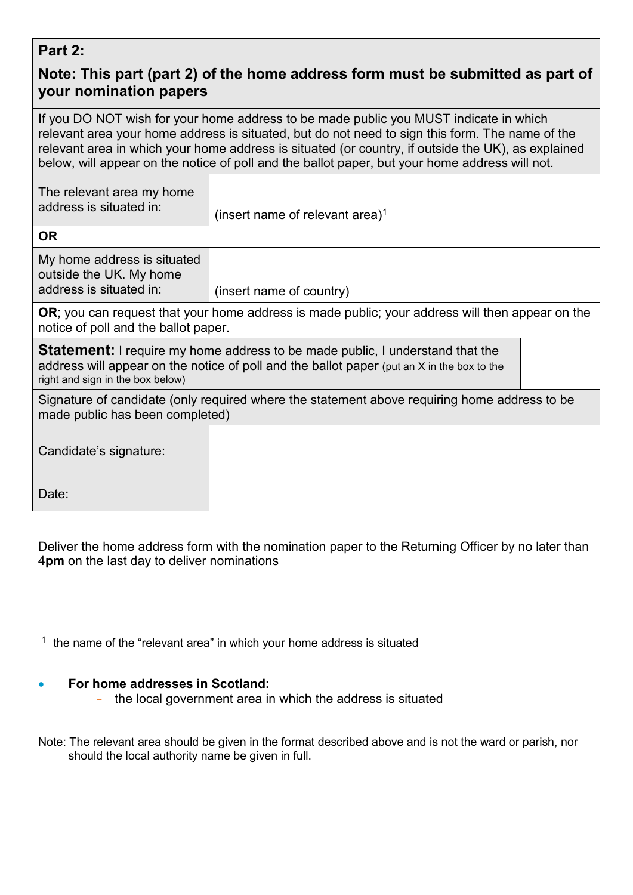# **Part 2:**

# **Note: This part (part 2) of the home address form must be submitted as part of your nomination papers**

If you DO NOT wish for your home address to be made public you MUST indicate in which relevant area your home address is situated, but do not need to sign this form. The name of the relevant area in which your home address is situated (or country, if outside the UK), as explained below, will appear on the notice of poll and the ballot paper, but your home address will not.

| The relevant area my home<br>address is situated in: | (insert name of relevant area) <sup>1</sup> |
|------------------------------------------------------|---------------------------------------------|
| OR                                                   |                                             |

My home address is situated outside the UK. My home<br>address is situated in:  $(inset name of country)$ 

**OR**; you can request that your home address is made public; your address will then appear on the notice of poll and the ballot paper.

**Statement:** I require my home address to be made public, I understand that the address will appear on the notice of poll and the ballot paper (put an X in the box to the right and sign in the box below)

| Signature of candidate (only required where the statement above requiring home address to be |
|----------------------------------------------------------------------------------------------|
| made public has been completed)                                                              |

| Candidate's signature: |  |
|------------------------|--|
| Date:                  |  |

Deliver the home address form with the nomination paper to the Returning Officer by no later than 4**pm** on the last day to deliver nominations

 $1$  the name of the "relevant area" in which your home address is situated

# • **For home addresses in Scotland:**

<span id="page-12-0"></span>-

- the local government area in which the address is situated

Note: The relevant area should be given in the format described above and is not the ward or parish, nor should the local authority name be given in full.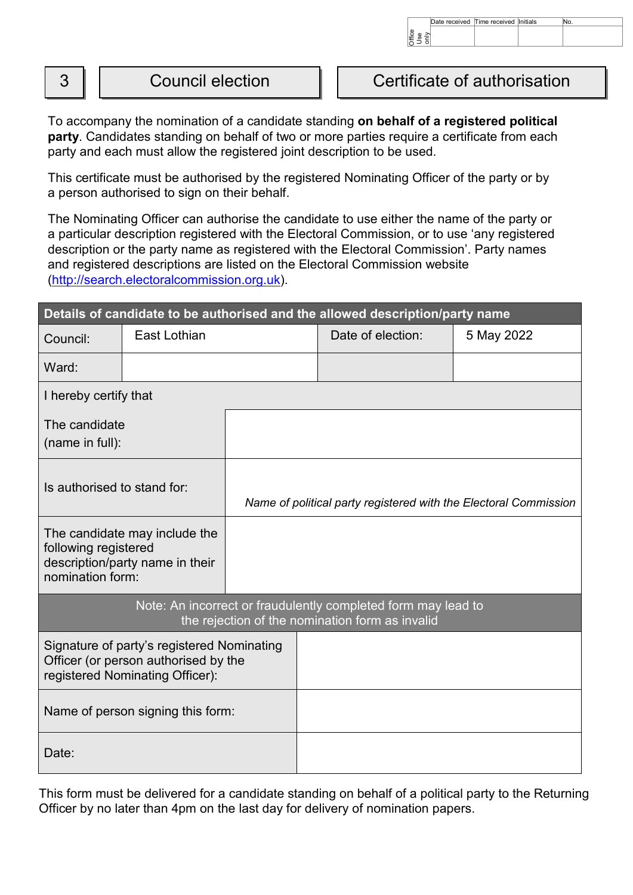|        |                         | )ffic                        | Date received Time received Initials | No. |  |
|--------|-------------------------|------------------------------|--------------------------------------|-----|--|
| ⌒<br>J | <b>Council election</b> | Certificate of authorisation |                                      |     |  |

To accompany the nomination of a candidate standing **on behalf of a registered political party**. Candidates standing on behalf of two or more parties require a certificate from each party and each must allow the registered joint description to be used.

This certificate must be authorised by the registered Nominating Officer of the party or by a person authorised to sign on their behalf.

The Nominating Officer can authorise the candidate to use either the name of the party or a particular description registered with the Electoral Commission, or to use 'any registered description or the party name as registered with the Electoral Commission'. Party names and registered descriptions are listed on the Electoral Commission website [\(http://search.electoralcommission.org.uk\)](http://search.electoralcommission.org.uk/).

|                                                                                                                       |              |                                                                  | Details of candidate to be authorised and the allowed description/party name                                     |            |  |  |
|-----------------------------------------------------------------------------------------------------------------------|--------------|------------------------------------------------------------------|------------------------------------------------------------------------------------------------------------------|------------|--|--|
| Council:                                                                                                              | East Lothian |                                                                  | Date of election:                                                                                                | 5 May 2022 |  |  |
| Ward:                                                                                                                 |              |                                                                  |                                                                                                                  |            |  |  |
| I hereby certify that                                                                                                 |              |                                                                  |                                                                                                                  |            |  |  |
| The candidate<br>(name in full):                                                                                      |              |                                                                  |                                                                                                                  |            |  |  |
| Is authorised to stand for:                                                                                           |              | Name of political party registered with the Electoral Commission |                                                                                                                  |            |  |  |
| The candidate may include the<br>following registered<br>description/party name in their<br>nomination form:          |              |                                                                  |                                                                                                                  |            |  |  |
|                                                                                                                       |              |                                                                  | Note: An incorrect or fraudulently completed form may lead to<br>the rejection of the nomination form as invalid |            |  |  |
| Signature of party's registered Nominating<br>Officer (or person authorised by the<br>registered Nominating Officer): |              |                                                                  |                                                                                                                  |            |  |  |
| Name of person signing this form:                                                                                     |              |                                                                  |                                                                                                                  |            |  |  |
| Date:                                                                                                                 |              |                                                                  |                                                                                                                  |            |  |  |

This form must be delivered for a candidate standing on behalf of a political party to the Returning Officer by no later than 4pm on the last day for delivery of nomination papers.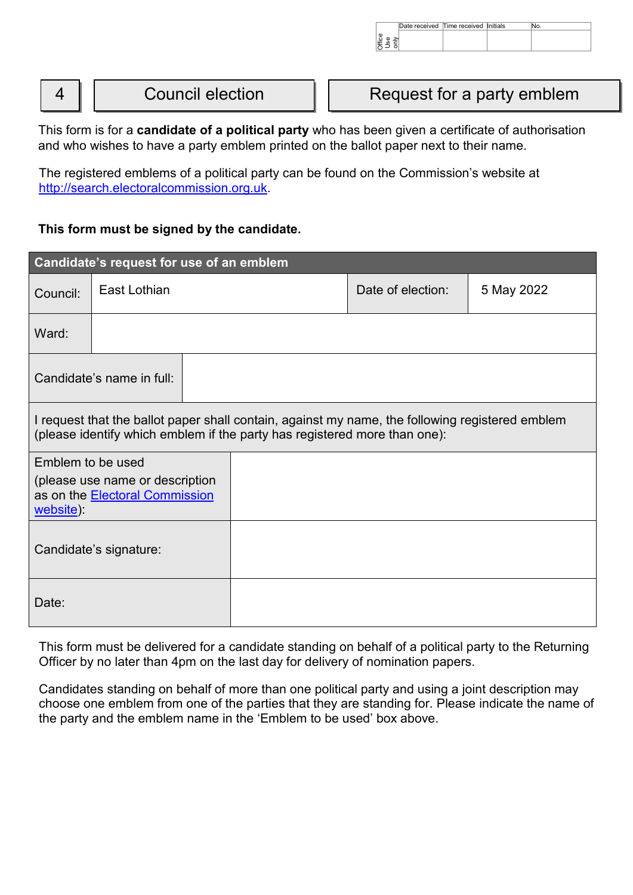|   |                         | Date received Time received Initials<br>No.<br>$\overset{\text{ee}}{\equiv}$ . |
|---|-------------------------|--------------------------------------------------------------------------------|
| 4 | <b>Council election</b> | Request for a party emblem                                                     |

This form is for a **candidate of a political party** who has been given a certificate of authorisation and who wishes to have a party emblem printed on the ballot paper next to their name.

The registered emblems of a political party can be found on the Commission's website at [http://search.electoralcommission.org.uk.](http://search.electoralcommission.org.uk/)

# **This form must be signed by the candidate.**

|                                                                                                                                                                              | Candidate's request for use of an emblem                          |  |                   |            |
|------------------------------------------------------------------------------------------------------------------------------------------------------------------------------|-------------------------------------------------------------------|--|-------------------|------------|
| Council:                                                                                                                                                                     | East Lothian                                                      |  | Date of election: | 5 May 2022 |
| Ward:                                                                                                                                                                        |                                                                   |  |                   |            |
|                                                                                                                                                                              | Candidate's name in full:                                         |  |                   |            |
| I request that the ballot paper shall contain, against my name, the following registered emblem<br>(please identify which emblem if the party has registered more than one): |                                                                   |  |                   |            |
| Emblem to be used<br>website):                                                                                                                                               | (please use name or description<br>as on the Electoral Commission |  |                   |            |
|                                                                                                                                                                              | Candidate's signature:                                            |  |                   |            |
| Date:                                                                                                                                                                        |                                                                   |  |                   |            |

This form must be delivered for a candidate standing on behalf of a political party to the Returning Officer by no later than 4pm on the last day for delivery of nomination papers.

Candidates standing on behalf of more than one political party and using a joint description may choose one emblem from one of the parties that they are standing for. Please indicate the name of the party and the emblem name in the 'Emblem to be used' box above.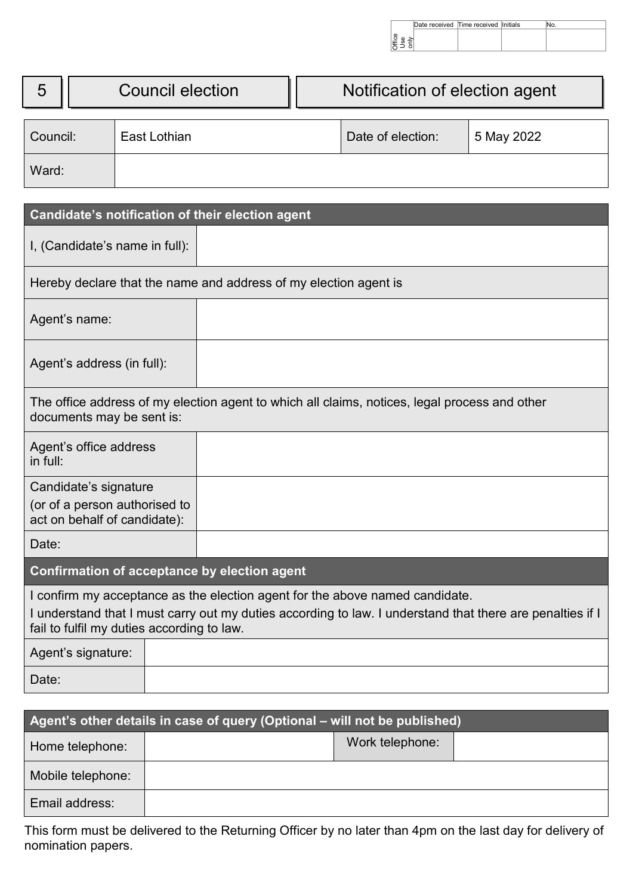|           | Date received Time received Initials |  |
|-----------|--------------------------------------|--|
|           |                                      |  |
| ပ္မ<br>E. |                                      |  |

|                                                                                                                                                                                                                                         |                                |              |                         |                                                                  |                                 | Date received Time received Initials<br>∭ਛੂ<br>ਪੁੱਛੇ ਭੇ |  |  | No. |
|-----------------------------------------------------------------------------------------------------------------------------------------------------------------------------------------------------------------------------------------|--------------------------------|--------------|-------------------------|------------------------------------------------------------------|---------------------------------|---------------------------------------------------------|--|--|-----|
|                                                                                                                                                                                                                                         |                                |              |                         |                                                                  |                                 |                                                         |  |  |     |
| 5                                                                                                                                                                                                                                       |                                |              | <b>Council election</b> |                                                                  |                                 | Notification of election agent                          |  |  |     |
| Council:                                                                                                                                                                                                                                |                                | East Lothian |                         |                                                                  | Date of election:<br>5 May 2022 |                                                         |  |  |     |
| Ward:                                                                                                                                                                                                                                   |                                |              |                         |                                                                  |                                 |                                                         |  |  |     |
|                                                                                                                                                                                                                                         |                                |              |                         | Candidate's notification of their election agent                 |                                 |                                                         |  |  |     |
|                                                                                                                                                                                                                                         | I, (Candidate's name in full): |              |                         |                                                                  |                                 |                                                         |  |  |     |
|                                                                                                                                                                                                                                         |                                |              |                         | Hereby declare that the name and address of my election agent is |                                 |                                                         |  |  |     |
| Agent's name:                                                                                                                                                                                                                           |                                |              |                         |                                                                  |                                 |                                                         |  |  |     |
| Agent's address (in full):                                                                                                                                                                                                              |                                |              |                         |                                                                  |                                 |                                                         |  |  |     |
| The office address of my election agent to which all claims, notices, legal process and other<br>documents may be sent is:                                                                                                              |                                |              |                         |                                                                  |                                 |                                                         |  |  |     |
| Agent's office address<br>in full:                                                                                                                                                                                                      |                                |              |                         |                                                                  |                                 |                                                         |  |  |     |
| Candidate's signature<br>(or of a person authorised to<br>act on behalf of candidate):                                                                                                                                                  |                                |              |                         |                                                                  |                                 |                                                         |  |  |     |
| Date:                                                                                                                                                                                                                                   |                                |              |                         |                                                                  |                                 |                                                         |  |  |     |
| Confirmation of acceptance by election agent                                                                                                                                                                                            |                                |              |                         |                                                                  |                                 |                                                         |  |  |     |
| I confirm my acceptance as the election agent for the above named candidate.<br>I understand that I must carry out my duties according to law. I understand that there are penalties if I<br>fail to fulfil my duties according to law. |                                |              |                         |                                                                  |                                 |                                                         |  |  |     |
|                                                                                                                                                                                                                                         | Agent's signature:             |              |                         |                                                                  |                                 |                                                         |  |  |     |
| Date:                                                                                                                                                                                                                                   |                                |              |                         |                                                                  |                                 |                                                         |  |  |     |

| Agent's other details in case of query (Optional – will not be published) |  |                 |  |  |
|---------------------------------------------------------------------------|--|-----------------|--|--|
| Home telephone:                                                           |  | Work telephone: |  |  |
| Mobile telephone:                                                         |  |                 |  |  |
| Email address:                                                            |  |                 |  |  |

This form must be delivered to the Returning Officer by no later than 4pm on the last day for delivery of nomination papers.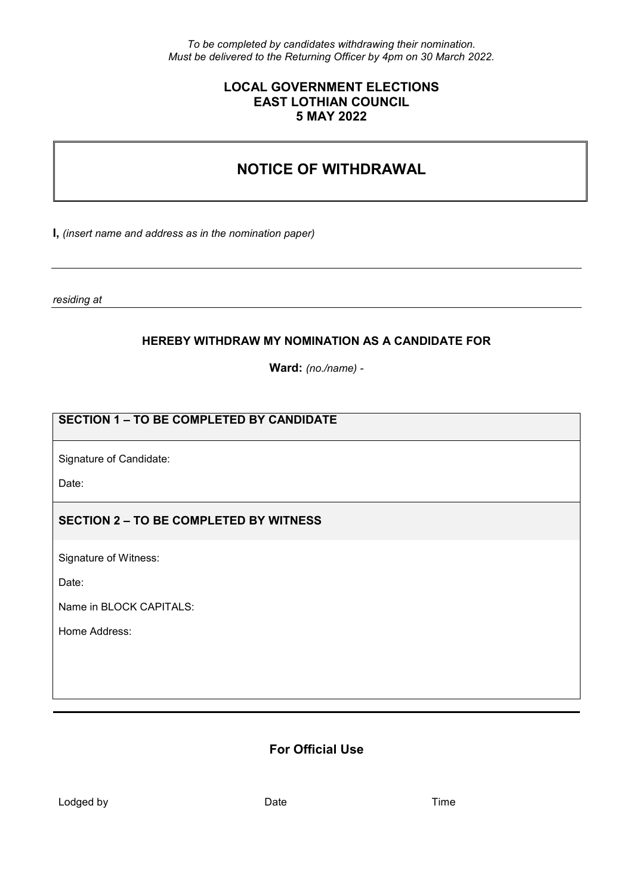*To be completed by candidates withdrawing their nomination. Must be delivered to the Returning Officer by 4pm on 30 March 2022.*

### **LOCAL GOVERNMENT ELECTIONS EAST LOTHIAN COUNCIL 5 MAY 2022**

# **NOTICE OF WITHDRAWAL**

**I,** *(insert name and address as in the nomination paper)*

*residing at* 

### **HEREBY WITHDRAW MY NOMINATION AS A CANDIDATE FOR**

**Ward:** *(no./name) -*

# **SECTION 1 – TO BE COMPLETED BY CANDIDATE**

Signature of Candidate:

Date:

### **SECTION 2 – TO BE COMPLETED BY WITNESS**

Signature of Witness:

Date:

Name in BLOCK CAPITALS:

Home Address:

# **For Official Use**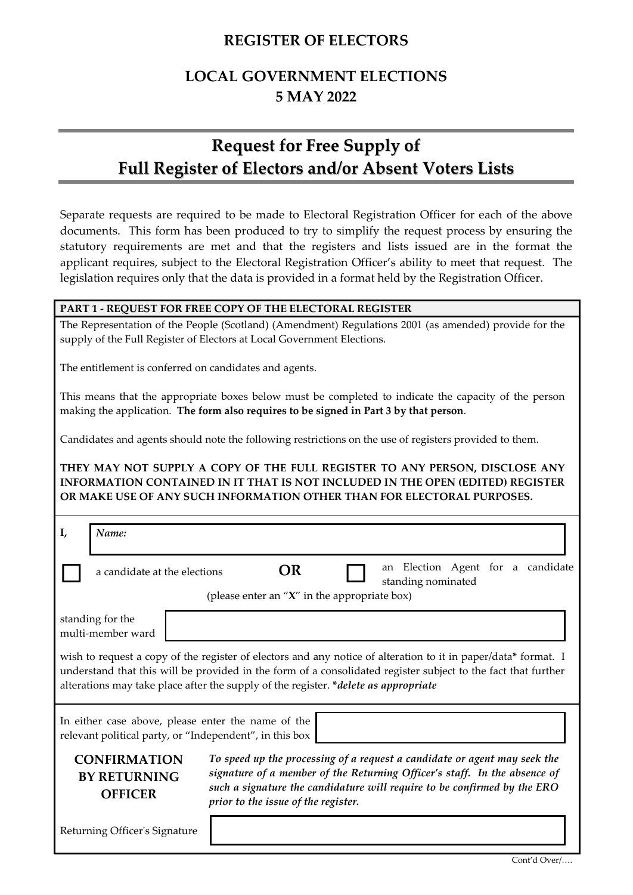# **REGISTER OF ELECTORS**

# **LOCAL GOVERNMENT ELECTIONS 5 MAY 2022**

# **Request for Free Supply of Full Register of Electors and/or Absent Voters Lists**

Separate requests are required to be made to Electoral Registration Officer for each of the above documents. This form has been produced to try to simplify the request process by ensuring the statutory requirements are met and that the registers and lists issued are in the format the applicant requires, subject to the Electoral Registration Officer's ability to meet that request. The legislation requires only that the data is provided in a format held by the Registration Officer.

### **PART 1 - REQUEST FOR FREE COPY OF THE ELECTORAL REGISTER**

The Representation of the People (Scotland) (Amendment) Regulations 2001 (as amended) provide for the supply of the Full Register of Electors at Local Government Elections.

The entitlement is conferred on candidates and agents.

This means that the appropriate boxes below must be completed to indicate the capacity of the person making the application. **The form also requires to be signed in Part 3 by that person**.

Candidates and agents should note the following restrictions on the use of registers provided to them.

**THEY MAY NOT SUPPLY A COPY OF THE FULL REGISTER TO ANY PERSON, DISCLOSE ANY INFORMATION CONTAINED IN IT THAT IS NOT INCLUDED IN THE OPEN (EDITED) REGISTER OR MAKE USE OF ANY SUCH INFORMATION OTHER THAN FOR ELECTORAL PURPOSES.**

| I,                                                                                                                                                                                                                                                                                                                     | Name:                                                        |                                                                                                                                                                                                                                                                           |  |  |  |  |
|------------------------------------------------------------------------------------------------------------------------------------------------------------------------------------------------------------------------------------------------------------------------------------------------------------------------|--------------------------------------------------------------|---------------------------------------------------------------------------------------------------------------------------------------------------------------------------------------------------------------------------------------------------------------------------|--|--|--|--|
|                                                                                                                                                                                                                                                                                                                        | a candidate at the elections                                 | an Election Agent for a candidate<br>OR<br>standing nominated<br>(please enter an " $X$ " in the appropriate box)                                                                                                                                                         |  |  |  |  |
|                                                                                                                                                                                                                                                                                                                        | standing for the<br>multi-member ward                        |                                                                                                                                                                                                                                                                           |  |  |  |  |
| wish to request a copy of the register of electors and any notice of alteration to it in paper/data* format. I<br>understand that this will be provided in the form of a consolidated register subject to the fact that further<br>alterations may take place after the supply of the register. *delete as appropriate |                                                              |                                                                                                                                                                                                                                                                           |  |  |  |  |
| In either case above, please enter the name of the<br>relevant political party, or "Independent", in this box                                                                                                                                                                                                          |                                                              |                                                                                                                                                                                                                                                                           |  |  |  |  |
|                                                                                                                                                                                                                                                                                                                        | <b>CONFIRMATION</b><br><b>BY RETURNING</b><br><b>OFFICER</b> | To speed up the processing of a request a candidate or agent may seek the<br>signature of a member of the Returning Officer's staff. In the absence of<br>such a signature the candidature will require to be confirmed by the ERO<br>prior to the issue of the register. |  |  |  |  |
|                                                                                                                                                                                                                                                                                                                        | Returning Officer's Signature                                |                                                                                                                                                                                                                                                                           |  |  |  |  |